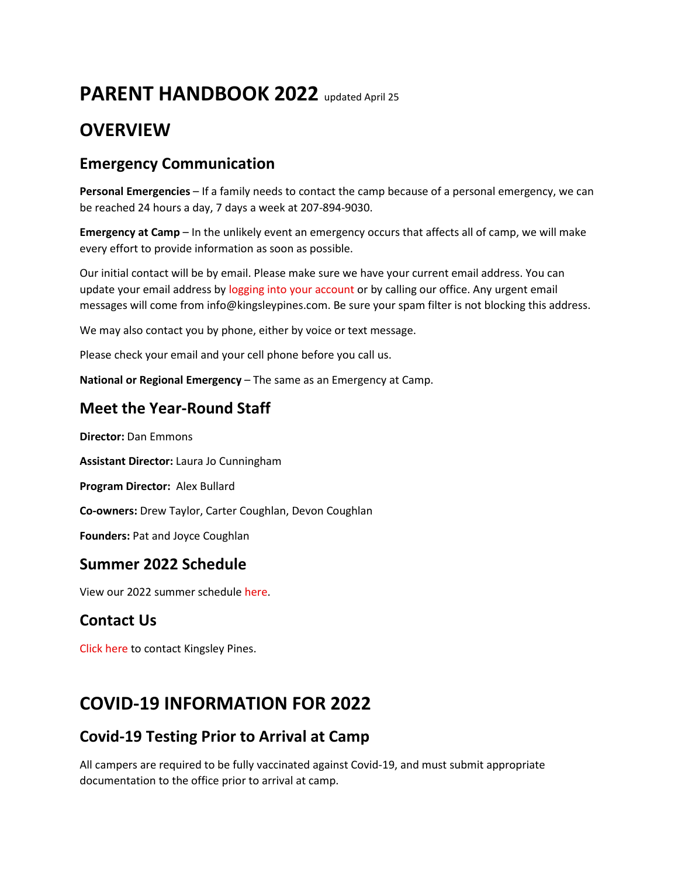# PARENT HANDBOOK 2022 updated April 25

# **OVERVIEW**

### **Emergency Communication**

**Personal Emergencies** – If a family needs to contact the camp because of a personal emergency, we can be reached 24 hours a day, 7 days a week at 207-894-9030.

**Emergency at Camp** – In the unlikely event an emergency occurs that affects all of camp, we will make every effort to provide information as soon as possible.

Our initial contact will be by email. Please make sure we have your current email address. You can update your email address by [logging into your account](https://kingsleypines.com/log-in/) or by calling our office. Any urgent email messages will come from info@kingsleypines.com. Be sure your spam filter is not blocking this address.

We may also contact you by phone, either by voice or text message.

Please check your email and your cell phone before you call us.

**National or Regional Emergency** – The same as an Emergency at Camp.

### **Meet the Year-Round Staff**

**Director:** Dan Emmons

**Assistant Director:** Laura Jo Cunningham

**Program Director:** Alex Bullard

**Co-owners:** Drew Taylor, Carter Coughlan, Devon Coughlan

**Founders:** Pat and Joyce Coughlan

### **Summer 2022 Schedule**

View our 2022 summer schedule [here.](https://kingsleypines.com/rates-dates/)

### **Contact Us**

[Click here](https://kingsleypines.com/contact/) to contact Kingsley Pines.

# **COVID-19 INFORMATION FOR 2022**

### **Covid-19 Testing Prior to Arrival at Camp**

All campers are required to be fully vaccinated against Covid-19, and must submit appropriate documentation to the office prior to arrival at camp.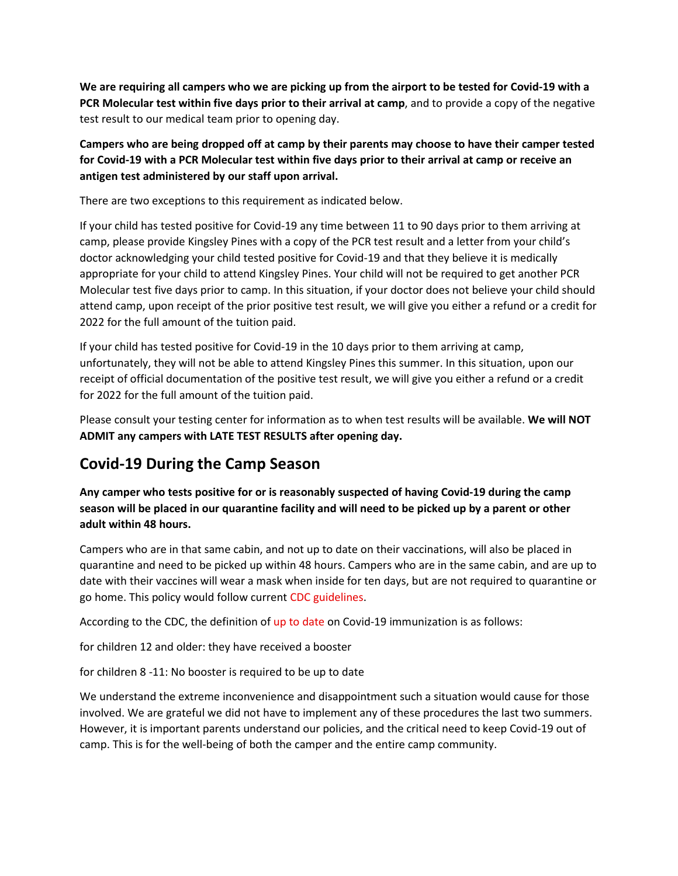**We are requiring all campers who we are picking up from the airport to be tested for Covid-19 with a PCR Molecular test within five days prior to their arrival at camp**, and to provide a copy of the negative test result to our medical team prior to opening day.

**Campers who are being dropped off at camp by their parents may choose to have their camper tested for Covid-19 with a PCR Molecular test within five days prior to their arrival at camp or receive an antigen test administered by our staff upon arrival.**

There are two exceptions to this requirement as indicated below.

If your child has tested positive for Covid-19 any time between 11 to 90 days prior to them arriving at camp, please provide Kingsley Pines with a copy of the PCR test result and a letter from your child's doctor acknowledging your child tested positive for Covid-19 and that they believe it is medically appropriate for your child to attend Kingsley Pines. Your child will not be required to get another PCR Molecular test five days prior to camp. In this situation, if your doctor does not believe your child should attend camp, upon receipt of the prior positive test result, we will give you either a refund or a credit for 2022 for the full amount of the tuition paid.

If your child has tested positive for Covid-19 in the 10 days prior to them arriving at camp, unfortunately, they will not be able to attend Kingsley Pines this summer. In this situation, upon our receipt of official documentation of the positive test result, we will give you either a refund or a credit for 2022 for the full amount of the tuition paid.

Please consult your testing center for information as to when test results will be available. **We will NOT ADMIT any campers with LATE TEST RESULTS after opening day.**

## **Covid-19 During the Camp Season**

**Any camper who tests positive for or is reasonably suspected of having Covid-19 during the camp season will be placed in our quarantine facility and will need to be picked up by a parent or other adult within 48 hours.**

Campers who are in that same cabin, and not up to date on their vaccinations, will also be placed in quarantine and need to be picked up within 48 hours. Campers who are in the same cabin, and are up to date with their vaccines will wear a mask when inside for ten days, but are not required to quarantine or go home. This policy would follow current CDC [guidelines.](https://www.cdc.gov/coronavirus/2019-ncov/your-health/quarantine-isolation.html)

According to the CDC, the definition of [up to date](https://www.cdc.gov/coronavirus/2019-ncov/vaccines/stay-up-to-date.html) on Covid-19 immunization is as follows:

for children 12 and older: they have received a booster

for children 8 -11: No booster is required to be up to date

We understand the extreme inconvenience and disappointment such a situation would cause for those involved. We are grateful we did not have to implement any of these procedures the last two summers. However, it is important parents understand our policies, and the critical need to keep Covid-19 out of camp. This is for the well-being of both the camper and the entire camp community.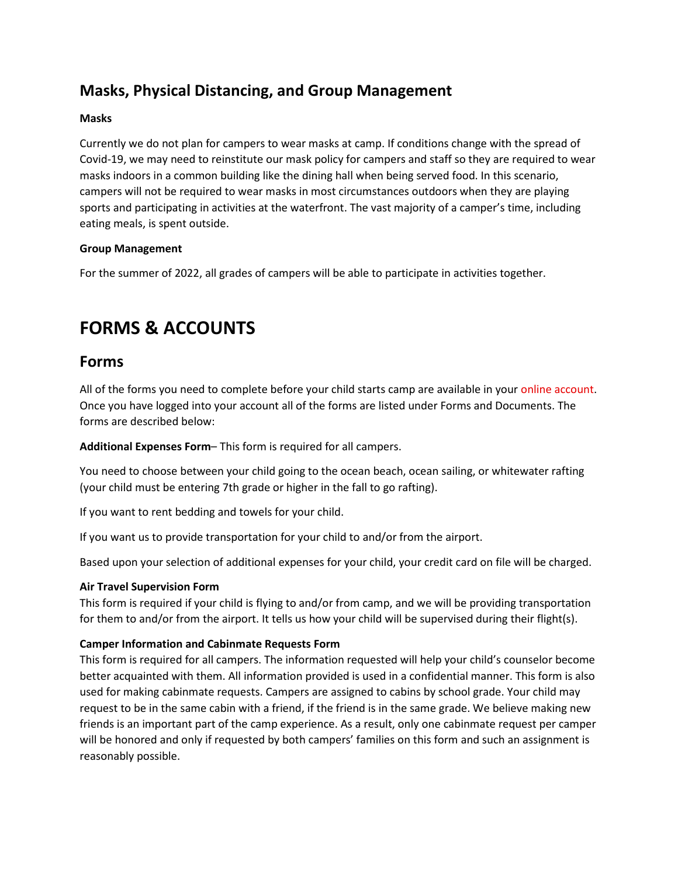### **Masks, Physical Distancing, and Group Management**

#### **Masks**

Currently we do not plan for campers to wear masks at camp. If conditions change with the spread of Covid-19, we may need to reinstitute our mask policy for campers and staff so they are required to wear masks indoors in a common building like the dining hall when being served food. In this scenario, campers will not be required to wear masks in most circumstances outdoors when they are playing sports and participating in activities at the waterfront. The vast majority of a camper's time, including eating meals, is spent outside.

#### **Group Management**

For the summer of 2022, all grades of campers will be able to participate in activities together.

# **FORMS & ACCOUNTS**

### **Forms**

All of the forms you need to complete before your child starts camp are available in your [online account.](https://kingsleypines.com/log-in/) Once you have logged into your account all of the forms are listed under Forms and Documents. The forms are described below:

**Additional Expenses Form**– This form is required for all campers.

You need to choose between your child going to the ocean beach, ocean sailing, or whitewater rafting (your child must be entering 7th grade or higher in the fall to go rafting).

If you want to rent bedding and towels for your child.

If you want us to provide transportation for your child to and/or from the airport.

Based upon your selection of additional expenses for your child, your credit card on file will be charged.

#### **Air Travel Supervision Form**

This form is required if your child is flying to and/or from camp, and we will be providing transportation for them to and/or from the airport. It tells us how your child will be supervised during their flight(s).

#### **Camper Information and Cabinmate Requests Form**

This form is required for all campers. The information requested will help your child's counselor become better acquainted with them. All information provided is used in a confidential manner. This form is also used for making cabinmate requests. Campers are assigned to cabins by school grade. Your child may request to be in the same cabin with a friend, if the friend is in the same grade. We believe making new friends is an important part of the camp experience. As a result, only one cabinmate request per camper will be honored and only if requested by both campers' families on this form and such an assignment is reasonably possible.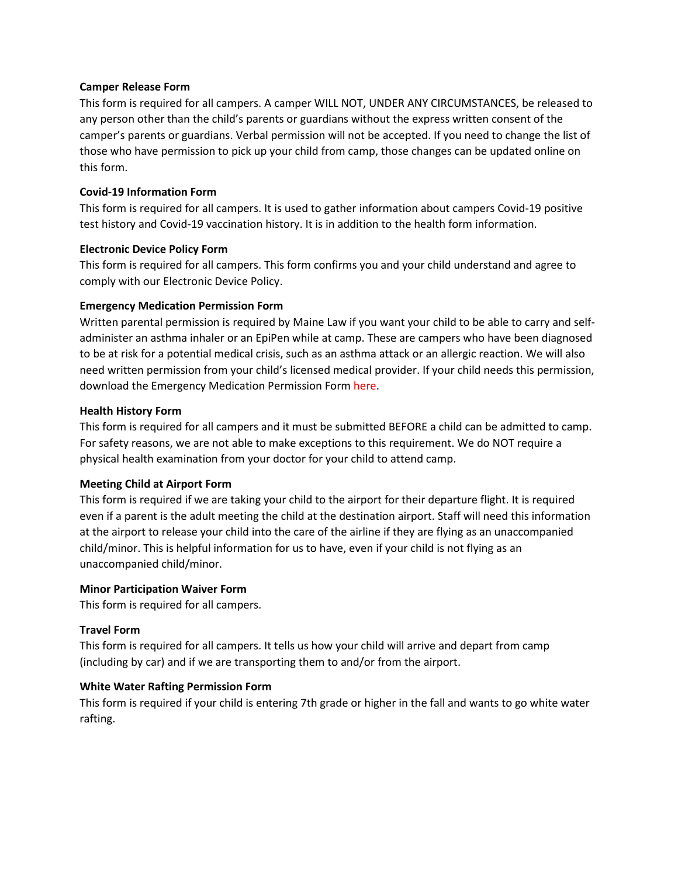#### **Camper Release Form**

This form is required for all campers. A camper WILL NOT, UNDER ANY CIRCUMSTANCES, be released to any person other than the child's parents or guardians without the express written consent of the camper's parents or guardians. Verbal permission will not be accepted. If you need to change the list of those who have permission to pick up your child from camp, those changes can be updated online on this form.

#### **Covid-19 Information Form**

This form is required for all campers. It is used to gather information about campers Covid-19 positive test history and Covid-19 vaccination history. It is in addition to the health form information.

#### **Electronic Device Policy Form**

This form is required for all campers. This form confirms you and your child understand and agree to comply with our Electronic Device Policy.

#### **Emergency Medication Permission Form**

Written parental permission is required by Maine Law if you want your child to be able to carry and selfadminister an asthma inhaler or an EpiPen while at camp. These are campers who have been diagnosed to be at risk for a potential medical crisis, such as an asthma attack or an allergic reaction. We will also need written permission from your child's licensed medical provider. If your child needs this permission, download the Emergency Medication Permission Form [here.](https://kingsleypines.com/wp-content/uploads/2021/04/emergency-medicine-permission-form.pdf)

#### **Health History Form**

This form is required for all campers and it must be submitted BEFORE a child can be admitted to camp. For safety reasons, we are not able to make exceptions to this requirement. We do NOT require a physical health examination from your doctor for your child to attend camp.

#### **Meeting Child at Airport Form**

This form is required if we are taking your child to the airport for their departure flight. It is required even if a parent is the adult meeting the child at the destination airport. Staff will need this information at the airport to release your child into the care of the airline if they are flying as an unaccompanied child/minor. This is helpful information for us to have, even if your child is not flying as an unaccompanied child/minor.

#### **Minor Participation Waiver Form**

This form is required for all campers.

#### **Travel Form**

This form is required for all campers. It tells us how your child will arrive and depart from camp (including by car) and if we are transporting them to and/or from the airport.

#### **White Water Rafting Permission Form**

This form is required if your child is entering 7th grade or higher in the fall and wants to go white water rafting.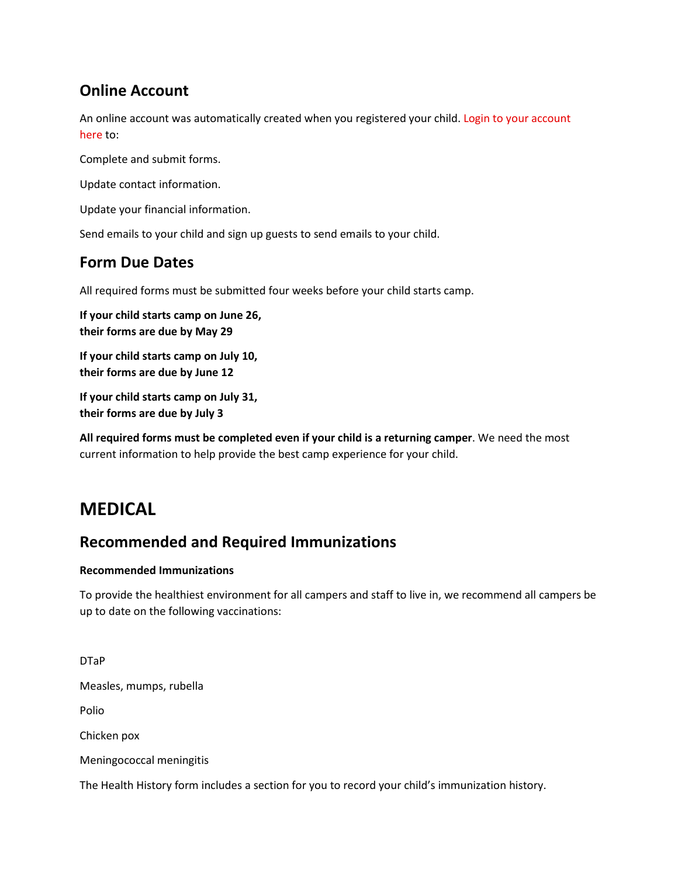### **Online Account**

An online account was automatically created when you registered your child. [Login to your account](https://kingsleypines.com/log-in/)  [here](https://kingsleypines.com/log-in/) to:

Complete and submit forms.

Update contact information.

Update your financial information.

Send emails to your child and sign up guests to send emails to your child.

### **Form Due Dates**

All required forms must be submitted four weeks before your child starts camp.

**If your child starts camp on June 26, their forms are due by May 29**

**If your child starts camp on July 10, their forms are due by June 12**

**If your child starts camp on July 31, their forms are due by July 3**

**All required forms must be completed even if your child is a returning camper**. We need the most current information to help provide the best camp experience for your child.

# **MEDICAL**

## **Recommended and Required Immunizations**

#### **Recommended Immunizations**

To provide the healthiest environment for all campers and staff to live in, we recommend all campers be up to date on the following vaccinations:

DTaP

Measles, mumps, rubella

Polio

Chicken pox

Meningococcal meningitis

The Health History form includes a section for you to record your child's immunization history.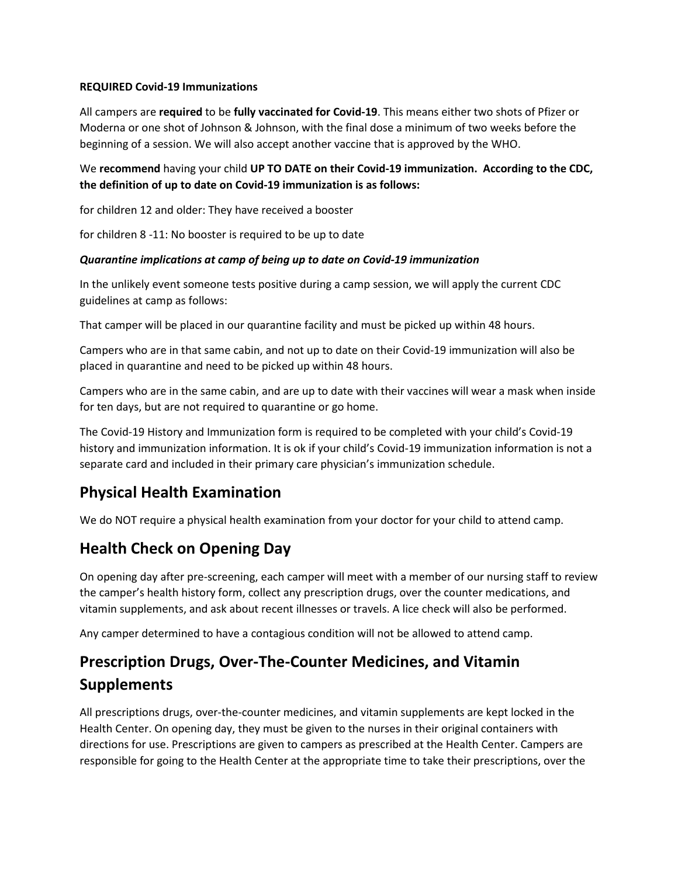#### **REQUIRED Covid-19 Immunizations**

All campers are **required** to be **fully vaccinated for Covid-19**. This means either two shots of Pfizer or Moderna or one shot of Johnson & Johnson, with the final dose a minimum of two weeks before the beginning of a session. We will also accept another vaccine that is approved by the WHO.

#### We **recommend** having your child **UP TO DATE on their Covid-19 immunization. According to the CDC, the definition of up to date on Covid-19 immunization is as follows:**

for children 12 and older: They have received a booster

for children 8 -11: No booster is required to be up to date

#### *Quarantine implications at camp of being up to date on Covid-19 immunization*

In the unlikely event someone tests positive during a camp session, we will apply the current CDC guidelines at camp as follows:

That camper will be placed in our quarantine facility and must be picked up within 48 hours.

Campers who are in that same cabin, and not up to date on their Covid-19 immunization will also be placed in quarantine and need to be picked up within 48 hours.

Campers who are in the same cabin, and are up to date with their vaccines will wear a mask when inside for ten days, but are not required to quarantine or go home.

The Covid-19 History and Immunization form is required to be completed with your child's Covid-19 history and immunization information. It is ok if your child's Covid-19 immunization information is not a separate card and included in their primary care physician's immunization schedule.

### **Physical Health Examination**

We do NOT require a physical health examination from your doctor for your child to attend camp.

### **Health Check on Opening Day**

On opening day after pre-screening, each camper will meet with a member of our nursing staff to review the camper's health history form, collect any prescription drugs, over the counter medications, and vitamin supplements, and ask about recent illnesses or travels. A lice check will also be performed.

Any camper determined to have a contagious condition will not be allowed to attend camp.

# **Prescription Drugs, Over-The-Counter Medicines, and Vitamin Supplements**

All prescriptions drugs, over-the-counter medicines, and vitamin supplements are kept locked in the Health Center. On opening day, they must be given to the nurses in their original containers with directions for use. Prescriptions are given to campers as prescribed at the Health Center. Campers are responsible for going to the Health Center at the appropriate time to take their prescriptions, over the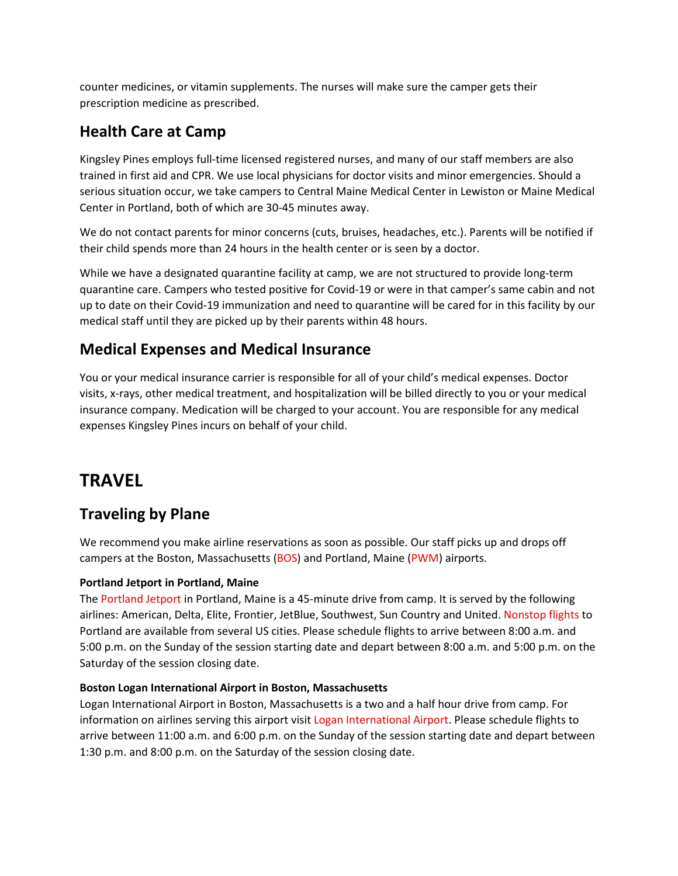counter medicines, or vitamin supplements. The nurses will make sure the camper gets their prescription medicine as prescribed.

## **Health Care at Camp**

Kingsley Pines employs full-time licensed registered nurses, and many of our staff members are also trained in first aid and CPR. We use local physicians for doctor visits and minor emergencies. Should a serious situation occur, we take campers to Central Maine Medical Center in Lewiston or Maine Medical Center in Portland, both of which are 30-45 minutes away.

We do not contact parents for minor concerns (cuts, bruises, headaches, etc.). Parents will be notified if their child spends more than 24 hours in the health center or is seen by a doctor.

While we have a designated quarantine facility at camp, we are not structured to provide long-term quarantine care. Campers who tested positive for Covid-19 or were in that camper's same cabin and not up to date on their Covid-19 immunization and need to quarantine will be cared for in this facility by our medical staff until they are picked up by their parents within 48 hours.

### **Medical Expenses and Medical Insurance**

You or your medical insurance carrier is responsible for all of your child's medical expenses. Doctor visits, x-rays, other medical treatment, and hospitalization will be billed directly to you or your medical insurance company. Medication will be charged to your account. You are responsible for any medical expenses Kingsley Pines incurs on behalf of your child.

# **TRAVEL**

## **Traveling by Plane**

We recommend you make airline reservations as soon as possible. Our staff picks up and drops off campers at the Boston, Massachusetts [\(BOS\)](http://www.massport.com/logan-airport/) and Portland, Maine [\(PWM\)](https://portlandjetport.org/) airports.

#### **Portland Jetport in Portland, Maine**

The [Portland Jetport](https://portlandjetport.org/) in Portland, Maine is a 45-minute drive from camp. It is served by the following airlines: American, Delta, Elite, Frontier, JetBlue, Southwest, Sun Country and United. [Nonstop flights](https://portlandjetport.org/airlines) to Portland are available from several US cities. Please schedule flights to arrive between 8:00 a.m. and 5:00 p.m. on the Sunday of the session starting date and depart between 8:00 a.m. and 5:00 p.m. on the Saturday of the session closing date.

#### **Boston Logan International Airport in Boston, Massachusetts**

Logan International Airport in Boston, Massachusetts is a two and a half hour drive from camp. For information on airlines serving this airport visit [Logan International Airport.](https://www.massport.com/logan-airport/) Please schedule flights to arrive between 11:00 a.m. and 6:00 p.m. on the Sunday of the session starting date and depart between 1:30 p.m. and 8:00 p.m. on the Saturday of the session closing date.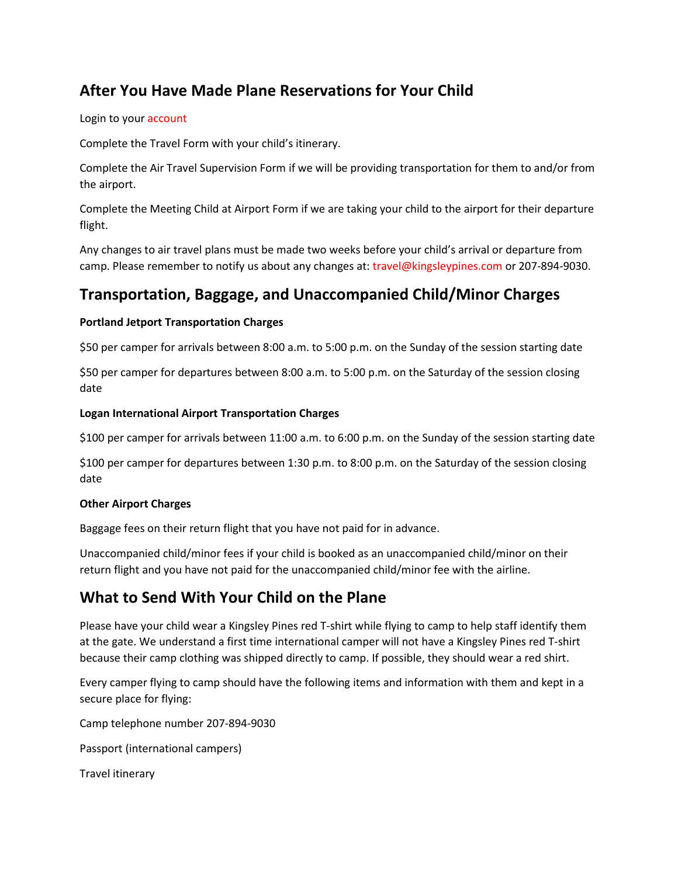## **After You Have Made Plane Reservations for Your Child**

#### Login to your [account](https://kingsleypines.com/log-in/)

Complete the Travel Form with your child's itinerary.

Complete the Air Travel Supervision Form if we will be providing transportation for them to and/or from the airport.

Complete the Meeting Child at Airport Form if we are taking your child to the airport for their departure flight.

Any changes to air travel plans must be made two weeks before your child's arrival or departure from camp. Please remember to notify us about any changes at: [travel@kingsleypines.com](mailto:travel@kingsleypines.com) or 207-894-9030.

### **Transportation, Baggage, and Unaccompanied Child/Minor Charges**

#### **Portland Jetport Transportation Charges**

\$50 per camper for arrivals between 8:00 a.m. to 5:00 p.m. on the Sunday of the session starting date

\$50 per camper for departures between 8:00 a.m. to 5:00 p.m. on the Saturday of the session closing date

#### **Logan International Airport Transportation Charges**

\$100 per camper for arrivals between 11:00 a.m. to 6:00 p.m. on the Sunday of the session starting date

\$100 per camper for departures between 1:30 p.m. to 8:00 p.m. on the Saturday of the session closing date

#### **Other Airport Charges**

Baggage fees on their return flight that you have not paid for in advance.

Unaccompanied child/minor fees if your child is booked as an unaccompanied child/minor on their return flight and you have not paid for the unaccompanied child/minor fee with the airline.

### **What to Send With Your Child on the Plane**

Please have your child wear a Kingsley Pines red T-shirt while flying to camp to help staff identify them at the gate. We understand a first time international camper will not have a Kingsley Pines red T-shirt because their camp clothing was shipped directly to camp. If possible, they should wear a red shirt.

Every camper flying to camp should have the following items and information with them and kept in a secure place for flying:

Camp telephone number 207-894-9030

Passport (international campers)

Travel itinerary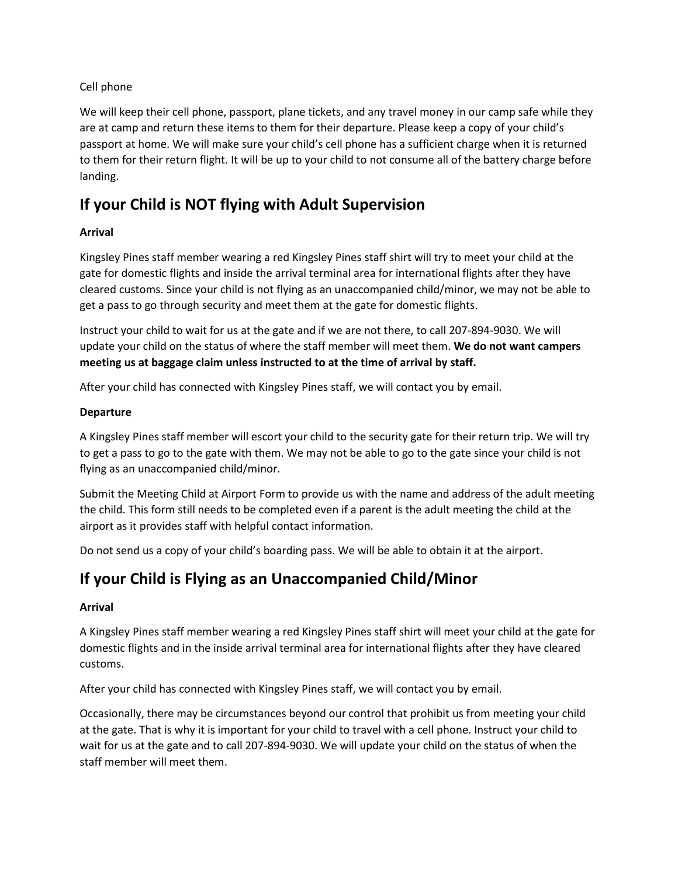#### Cell phone

We will keep their cell phone, passport, plane tickets, and any travel money in our camp safe while they are at camp and return these items to them for their departure. Please keep a copy of your child's passport at home. We will make sure your child's cell phone has a sufficient charge when it is returned to them for their return flight. It will be up to your child to not consume all of the battery charge before landing.

## **If your Child is NOT flying with Adult Supervision**

#### **Arrival**

Kingsley Pines staff member wearing a red Kingsley Pines staff shirt will try to meet your child at the gate for domestic flights and inside the arrival terminal area for international flights after they have cleared customs. Since your child is not flying as an unaccompanied child/minor, we may not be able to get a pass to go through security and meet them at the gate for domestic flights.

Instruct your child to wait for us at the gate and if we are not there, to call 207-894-9030. We will update your child on the status of where the staff member will meet them. **We do not want campers meeting us at baggage claim unless instructed to at the time of arrival by staff.**

After your child has connected with Kingsley Pines staff, we will contact you by email.

#### **Departure**

A Kingsley Pines staff member will escort your child to the security gate for their return trip. We will try to get a pass to go to the gate with them. We may not be able to go to the gate since your child is not flying as an unaccompanied child/minor.

Submit the Meeting Child at Airport Form to provide us with the name and address of the adult meeting the child. This form still needs to be completed even if a parent is the adult meeting the child at the airport as it provides staff with helpful contact information.

Do not send us a copy of your child's boarding pass. We will be able to obtain it at the airport.

## **If your Child is Flying as an Unaccompanied Child/Minor**

#### **Arrival**

A Kingsley Pines staff member wearing a red Kingsley Pines staff shirt will meet your child at the gate for domestic flights and in the inside arrival terminal area for international flights after they have cleared customs.

After your child has connected with Kingsley Pines staff, we will contact you by email.

Occasionally, there may be circumstances beyond our control that prohibit us from meeting your child at the gate. That is why it is important for your child to travel with a cell phone. Instruct your child to wait for us at the gate and to call 207-894-9030. We will update your child on the status of when the staff member will meet them.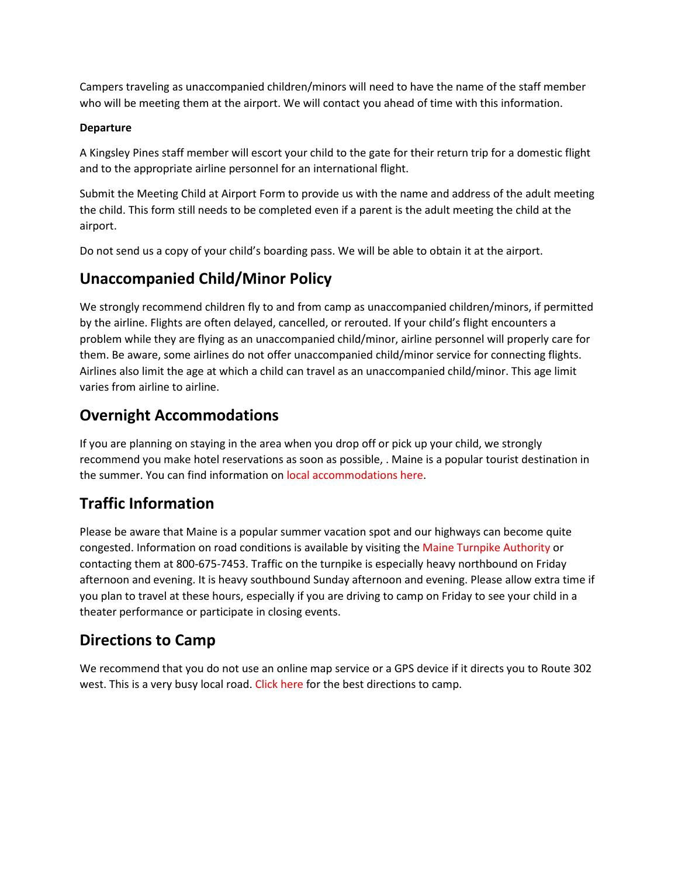Campers traveling as unaccompanied children/minors will need to have the name of the staff member who will be meeting them at the airport. We will contact you ahead of time with this information.

#### **Departure**

A Kingsley Pines staff member will escort your child to the gate for their return trip for a domestic flight and to the appropriate airline personnel for an international flight.

Submit the Meeting Child at Airport Form to provide us with the name and address of the adult meeting the child. This form still needs to be completed even if a parent is the adult meeting the child at the airport.

Do not send us a copy of your child's boarding pass. We will be able to obtain it at the airport.

# **Unaccompanied Child/Minor Policy**

We strongly recommend children fly to and from camp as unaccompanied children/minors, if permitted by the airline. Flights are often delayed, cancelled, or rerouted. If your child's flight encounters a problem while they are flying as an unaccompanied child/minor, airline personnel will properly care for them. Be aware, some airlines do not offer unaccompanied child/minor service for connecting flights. Airlines also limit the age at which a child can travel as an unaccompanied child/minor. This age limit varies from airline to airline.

# **Overnight Accommodations**

If you are planning on staying in the area when you drop off or pick up your child, we strongly recommend you make hotel reservations as soon as possible, . Maine is a popular tourist destination in the summer. You can find information on [local accommodations here.](https://kingsleypines.com/directions-lodging-and-resources/)

# **Traffic Information**

Please be aware that Maine is a popular summer vacation spot and our highways can become quite congested. Information on road conditions is available by visiting the [Maine Turnpike Authority](http://www.maineturnpike.com/Traveler-Services/Traffic-Cams.aspx) or contacting them at 800-675-7453. Traffic on the turnpike is especially heavy northbound on Friday afternoon and evening. It is heavy southbound Sunday afternoon and evening. Please allow extra time if you plan to travel at these hours, especially if you are driving to camp on Friday to see your child in a theater performance or participate in closing events.

## **Directions to Camp**

We recommend that you do not use an online map service or a GPS device if it directs you to Route 302 west. This is a very busy local road. [Click here](https://kingsleypines.com/directions-lodging-and-resources/) for the best directions to camp.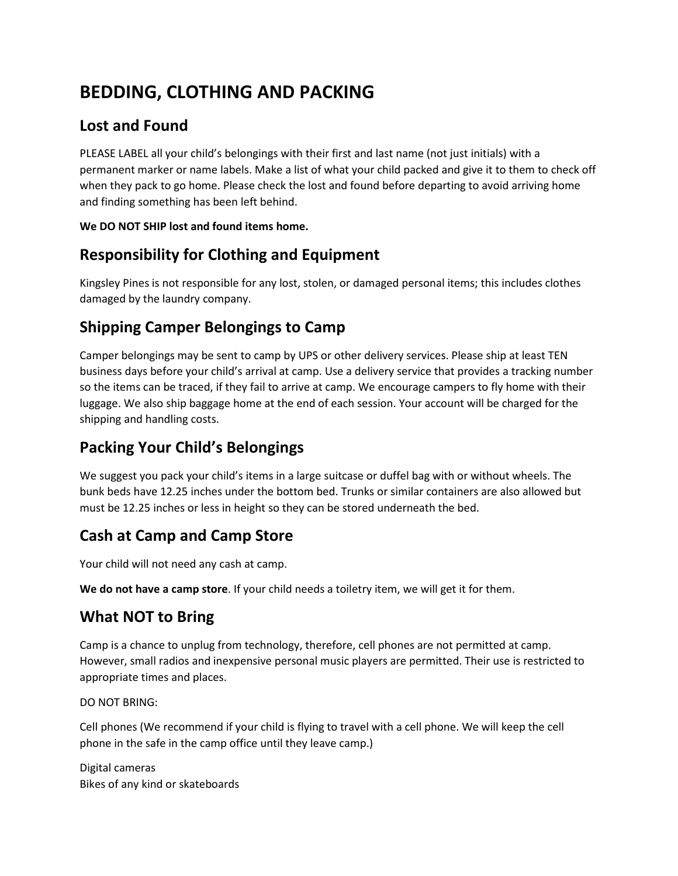# **BEDDING, CLOTHING AND PACKING**

# **Lost and Found**

PLEASE LABEL all your child's belongings with their first and last name (not just initials) with a permanent marker or name labels. Make a list of what your child packed and give it to them to check off when they pack to go home. Please check the lost and found before departing to avoid arriving home and finding something has been left behind.

#### **We DO NOT SHIP lost and found items home.**

# **Responsibility for Clothing and Equipment**

Kingsley Pines is not responsible for any lost, stolen, or damaged personal items; this includes clothes damaged by the laundry company.

# **Shipping Camper Belongings to Camp**

Camper belongings may be sent to camp by UPS or other delivery services. Please ship at least TEN business days before your child's arrival at camp. Use a delivery service that provides a tracking number so the items can be traced, if they fail to arrive at camp. We encourage campers to fly home with their luggage. We also ship baggage home at the end of each session. Your account will be charged for the shipping and handling costs.

# **Packing Your Child's Belongings**

We suggest you pack your child's items in a large suitcase or duffel bag with or without wheels. The bunk beds have 12.25 inches under the bottom bed. Trunks or similar containers are also allowed but must be 12.25 inches or less in height so they can be stored underneath the bed.

# **Cash at Camp and Camp Store**

Your child will not need any cash at camp.

**We do not have a camp store**. If your child needs a toiletry item, we will get it for them.

# **What NOT to Bring**

Camp is a chance to unplug from technology, therefore, cell phones are not permitted at camp. However, small radios and inexpensive personal music players are permitted. Their use is restricted to appropriate times and places.

DO NOT BRING:

Cell phones (We recommend if your child is flying to travel with a cell phone. We will keep the cell phone in the safe in the camp office until they leave camp.)

Digital cameras Bikes of any kind or skateboards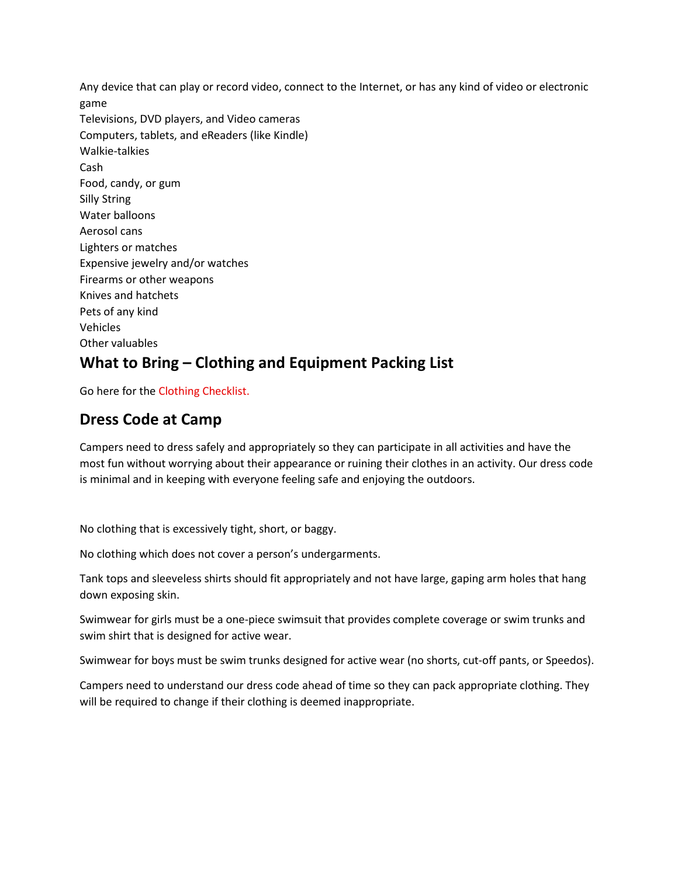Any device that can play or record video, connect to the Internet, or has any kind of video or electronic game Televisions, DVD players, and Video cameras Computers, tablets, and eReaders (like Kindle) Walkie-talkies Cash Food, candy, or gum Silly String Water balloons Aerosol cans Lighters or matches Expensive jewelry and/or watches Firearms or other weapons Knives and hatchets Pets of any kind Vehicles Other valuables **What to Bring – Clothing and Equipment Packing List**

## Go here for the [Clothing Checklist.](https://kingsleypines.com/wp-content/uploads/2020/02/clothing-checklist.pdf)

### **Dress Code at Camp**

Campers need to dress safely and appropriately so they can participate in all activities and have the most fun without worrying about their appearance or ruining their clothes in an activity. Our dress code is minimal and in keeping with everyone feeling safe and enjoying the outdoors.

No clothing that is excessively tight, short, or baggy.

No clothing which does not cover a person's undergarments.

Tank tops and sleeveless shirts should fit appropriately and not have large, gaping arm holes that hang down exposing skin.

Swimwear for girls must be a one-piece swimsuit that provides complete coverage or swim trunks and swim shirt that is designed for active wear.

Swimwear for boys must be swim trunks designed for active wear (no shorts, cut-off pants, or Speedos).

Campers need to understand our dress code ahead of time so they can pack appropriate clothing. They will be required to change if their clothing is deemed inappropriate.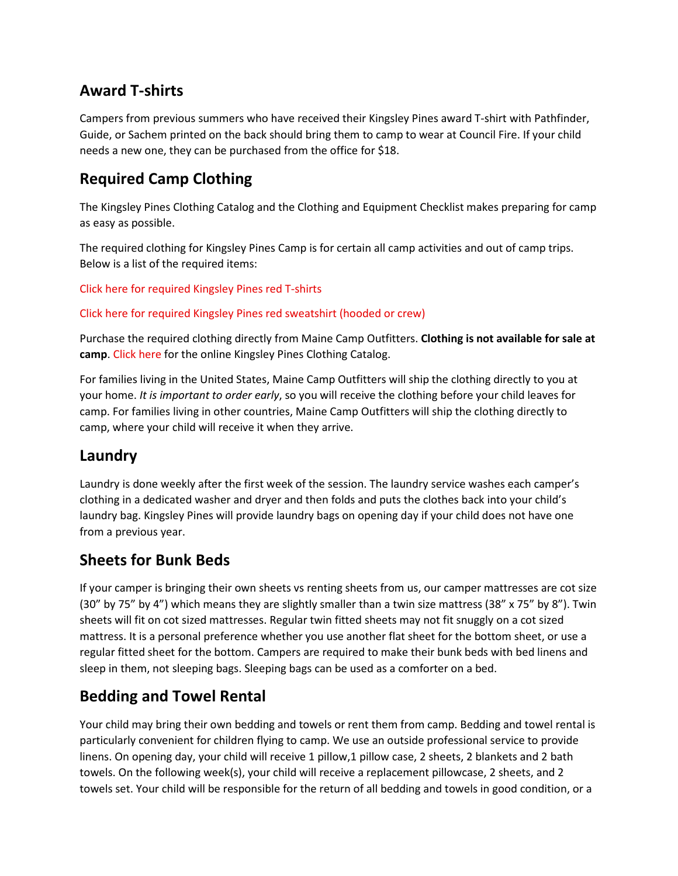## **Award T-shirts**

Campers from previous summers who have received their Kingsley Pines award T-shirt with Pathfinder, Guide, or Sachem printed on the back should bring them to camp to wear at Council Fire. If your child needs a new one, they can be purchased from the office for \$18.

# **Required Camp Clothing**

The Kingsley Pines Clothing Catalog and the Clothing and Equipment Checklist makes preparing for camp as easy as possible.

The required clothing for Kingsley Pines Camp is for certain all camp activities and out of camp trips. Below is a list of the required items:

[Click here for required Kingsley Pines red T-shirts](http://shopping.maine-camp.com/Tops/products/587/)

[Click here for required Kingsley Pines red sweatshirt \(hooded or crew\)](http://shopping.maine-camp.com/Sweats/products/589/)

Purchase the required clothing directly from Maine Camp Outfitters. **Clothing is not available for sale at camp**. [Click here](http://shopping.maine-camp.com/setcamp.asp?dept=585) for the online Kingsley Pines Clothing Catalog.

For families living in the United States, Maine Camp Outfitters will ship the clothing directly to you at your home. *It is important to order early*, so you will receive the clothing before your child leaves for camp. For families living in other countries, Maine Camp Outfitters will ship the clothing directly to camp, where your child will receive it when they arrive.

### **Laundry**

Laundry is done weekly after the first week of the session. The laundry service washes each camper's clothing in a dedicated washer and dryer and then folds and puts the clothes back into your child's laundry bag. Kingsley Pines will provide laundry bags on opening day if your child does not have one from a previous year.

### **Sheets for Bunk Beds**

If your camper is bringing their own sheets vs renting sheets from us, our camper mattresses are cot size (30" by 75" by 4") which means they are slightly smaller than a twin size mattress (38" x 75" by 8"). Twin sheets will fit on cot sized mattresses. Regular twin fitted sheets may not fit snuggly on a cot sized mattress. It is a personal preference whether you use another flat sheet for the bottom sheet, or use a regular fitted sheet for the bottom. Campers are required to make their bunk beds with bed linens and sleep in them, not sleeping bags. Sleeping bags can be used as a comforter on a bed.

## **Bedding and Towel Rental**

Your child may bring their own bedding and towels or rent them from camp. Bedding and towel rental is particularly convenient for children flying to camp. We use an outside professional service to provide linens. On opening day, your child will receive 1 pillow,1 pillow case, 2 sheets, 2 blankets and 2 bath towels. On the following week(s), your child will receive a replacement pillowcase, 2 sheets, and 2 towels set. Your child will be responsible for the return of all bedding and towels in good condition, or a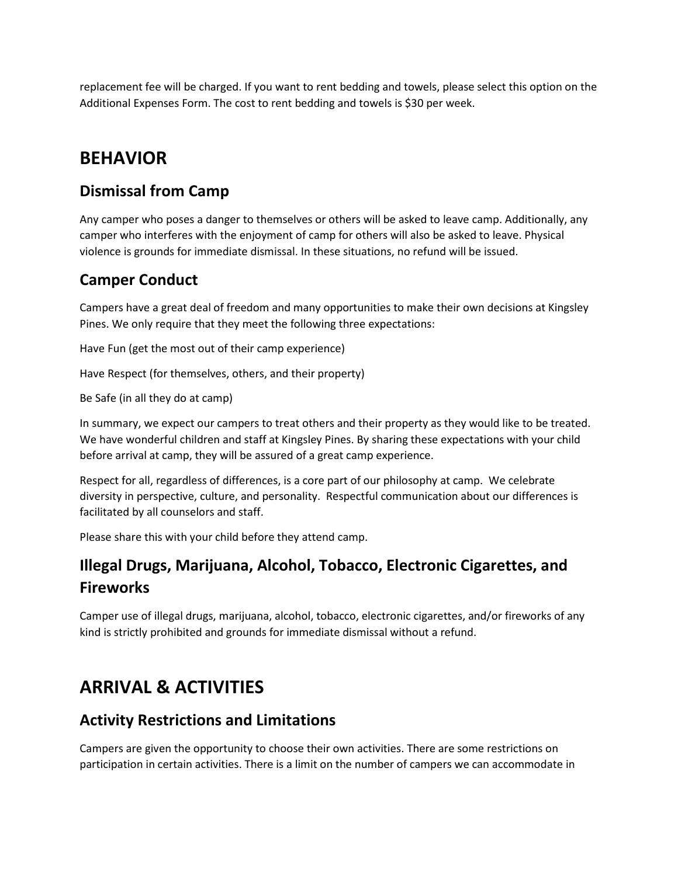replacement fee will be charged. If you want to rent bedding and towels, please select this option on the Additional Expenses Form. The cost to rent bedding and towels is \$30 per week.

# **BEHAVIOR**

### **Dismissal from Camp**

Any camper who poses a danger to themselves or others will be asked to leave camp. Additionally, any camper who interferes with the enjoyment of camp for others will also be asked to leave. Physical violence is grounds for immediate dismissal. In these situations, no refund will be issued.

### **Camper Conduct**

Campers have a great deal of freedom and many opportunities to make their own decisions at Kingsley Pines. We only require that they meet the following three expectations:

Have Fun (get the most out of their camp experience)

Have Respect (for themselves, others, and their property)

Be Safe (in all they do at camp)

In summary, we expect our campers to treat others and their property as they would like to be treated. We have wonderful children and staff at Kingsley Pines. By sharing these expectations with your child before arrival at camp, they will be assured of a great camp experience.

Respect for all, regardless of differences, is a core part of our philosophy at camp. We celebrate diversity in perspective, culture, and personality. Respectful communication about our differences is facilitated by all counselors and staff.

Please share this with your child before they attend camp.

# **Illegal Drugs, Marijuana, Alcohol, Tobacco, Electronic Cigarettes, and Fireworks**

Camper use of illegal drugs, marijuana, alcohol, tobacco, electronic cigarettes, and/or fireworks of any kind is strictly prohibited and grounds for immediate dismissal without a refund.

# **ARRIVAL & ACTIVITIES**

### **Activity Restrictions and Limitations**

Campers are given the opportunity to choose their own activities. There are some restrictions on participation in certain activities. There is a limit on the number of campers we can accommodate in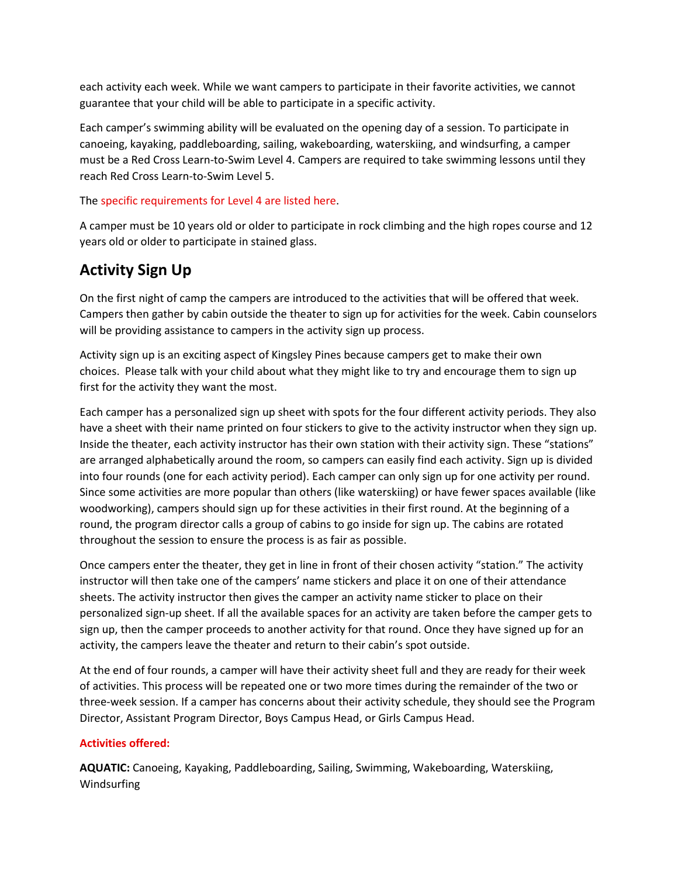each activity each week. While we want campers to participate in their favorite activities, we cannot guarantee that your child will be able to participate in a specific activity.

Each camper's swimming ability will be evaluated on the opening day of a session. To participate in canoeing, kayaking, paddleboarding, sailing, wakeboarding, waterskiing, and windsurfing, a camper must be a Red Cross Learn-to-Swim Level 4. Campers are required to take swimming lessons until they reach Red Cross Learn-to-Swim Level 5.

#### The [specific requirements for Level 4 are listed here.](https://kingsleypines.com/wp-content/uploads/2019/01/Swim_Levels_3__4.pdf)

A camper must be 10 years old or older to participate in rock climbing and the high ropes course and 12 years old or older to participate in stained glass.

# **Activity Sign Up**

On the first night of camp the campers are introduced to the activities that will be offered that week. Campers then gather by cabin outside the theater to sign up for activities for the week. Cabin counselors will be providing assistance to campers in the activity sign up process.

Activity sign up is an exciting aspect of Kingsley Pines because campers get to make their own choices. Please talk with your child about what they might like to try and encourage them to sign up first for the activity they want the most.

Each camper has a personalized sign up sheet with spots for the four different activity periods. They also have a sheet with their name printed on four stickers to give to the activity instructor when they sign up. Inside the theater, each activity instructor has their own station with their activity sign. These "stations" are arranged alphabetically around the room, so campers can easily find each activity. Sign up is divided into four rounds (one for each activity period). Each camper can only sign up for one activity per round. Since some activities are more popular than others (like waterskiing) or have fewer spaces available (like woodworking), campers should sign up for these activities in their first round. At the beginning of a round, the program director calls a group of cabins to go inside for sign up. The cabins are rotated throughout the session to ensure the process is as fair as possible.

Once campers enter the theater, they get in line in front of their chosen activity "station." The activity instructor will then take one of the campers' name stickers and place it on one of their attendance sheets. The activity instructor then gives the camper an activity name sticker to place on their personalized sign-up sheet. If all the available spaces for an activity are taken before the camper gets to sign up, then the camper proceeds to another activity for that round. Once they have signed up for an activity, the campers leave the theater and return to their cabin's spot outside.

At the end of four rounds, a camper will have their activity sheet full and they are ready for their week of activities. This process will be repeated one or two more times during the remainder of the two or three-week session. If a camper has concerns about their activity schedule, they should see the Program Director, Assistant Program Director, Boys Campus Head, or Girls Campus Head.

#### **[Activities offered:](https://kingsleypines.com/activities/)**

**AQUATIC:** Canoeing, Kayaking, Paddleboarding, Sailing, Swimming, Wakeboarding, Waterskiing, Windsurfing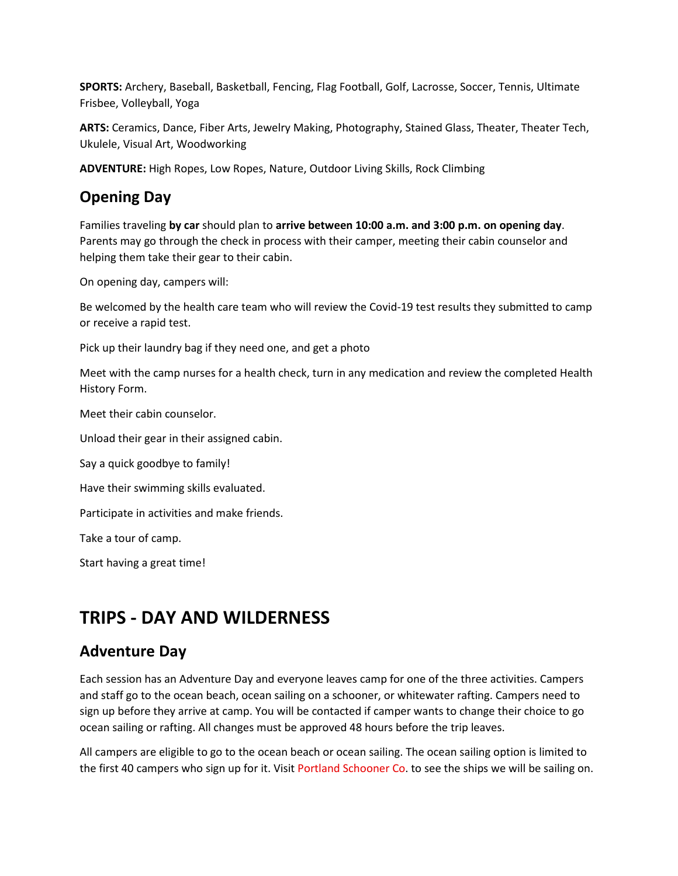**SPORTS:** Archery, Baseball, Basketball, Fencing, Flag Football, Golf, Lacrosse, Soccer, Tennis, Ultimate Frisbee, Volleyball, Yoga

**ARTS:** Ceramics, Dance, Fiber Arts, Jewelry Making, Photography, Stained Glass, Theater, Theater Tech, Ukulele, Visual Art, Woodworking

**ADVENTURE:** High Ropes, Low Ropes, Nature, Outdoor Living Skills, Rock Climbing

### **Opening Day**

Families traveling **by car** should plan to **arrive between 10:00 a.m. and 3:00 p.m. on opening day**. Parents may go through the check in process with their camper, meeting their cabin counselor and helping them take their gear to their cabin.

On opening day, campers will:

Be welcomed by the health care team who will review the Covid-19 test results they submitted to camp or receive a rapid test.

Pick up their laundry bag if they need one, and get a photo

Meet with the camp nurses for a health check, turn in any medication and review the completed Health History Form.

Meet their cabin counselor.

Unload their gear in their assigned cabin.

Say a quick goodbye to family!

Have their swimming skills evaluated.

Participate in activities and make friends.

Take a tour of camp.

Start having a great time!

# **TRIPS - DAY AND WILDERNESS**

### **Adventure Day**

Each session has an Adventure Day and everyone leaves camp for one of the three activities. Campers and staff go to the ocean beach, ocean sailing on a schooner, or whitewater rafting. Campers need to sign up before they arrive at camp. You will be contacted if camper wants to change their choice to go ocean sailing or rafting. All changes must be approved 48 hours before the trip leaves.

All campers are eligible to go to the ocean beach or ocean sailing. The ocean sailing option is limited to the first 40 campers who sign up for it. Visit [Portland Schooner Co.](https://www.portlandschooner.com/) to see the ships we will be sailing on.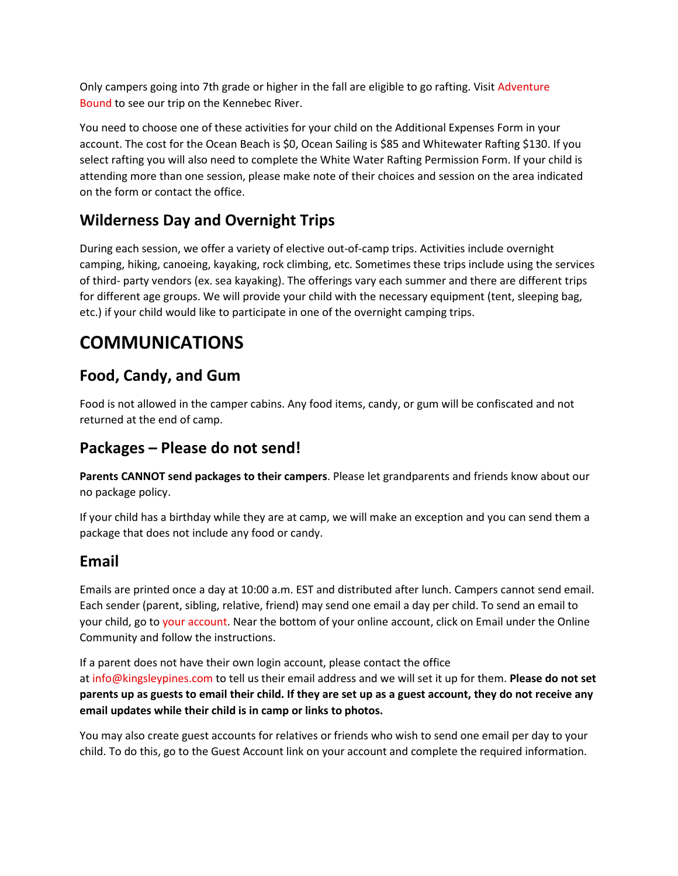Only campers going into 7th grade or higher in the fall are eligible to go rafting. Visit [Adventure](https://www.adv-bound.com/kennebec-river-maine-whitewater-rafting/)  [Bound](https://www.adv-bound.com/kennebec-river-maine-whitewater-rafting/) to see our trip on the Kennebec River.

You need to choose one of these activities for your child on the Additional Expenses Form in your account. The cost for the Ocean Beach is \$0, Ocean Sailing is \$85 and Whitewater Rafting \$130. If you select rafting you will also need to complete the White Water Rafting Permission Form. If your child is attending more than one session, please make note of their choices and session on the area indicated on the form or contact the office.

# **Wilderness Day and Overnight Trips**

During each session, we offer a variety of elective out-of-camp trips. Activities include overnight camping, hiking, canoeing, kayaking, rock climbing, etc. Sometimes these trips include using the services of third- party vendors (ex. sea kayaking). The offerings vary each summer and there are different trips for different age groups. We will provide your child with the necessary equipment (tent, sleeping bag, etc.) if your child would like to participate in one of the overnight camping trips.

# **COMMUNICATIONS**

### **Food, Candy, and Gum**

Food is not allowed in the camper cabins. Any food items, candy, or gum will be confiscated and not returned at the end of camp.

## **Packages – Please do not send!**

**Parents CANNOT send packages to their campers**. Please let grandparents and friends know about our no package policy.

If your child has a birthday while they are at camp, we will make an exception and you can send them a package that does not include any food or candy.

### **Email**

Emails are printed once a day at 10:00 a.m. EST and distributed after lunch. Campers cannot send email. Each sender (parent, sibling, relative, friend) may send one email a day per child. To send an email to your child, go to [your account.](https://www.kingsleypines.com/login.php) Near the bottom of your online account, click on Email under the Online Community and follow the instructions.

If a parent does not have their own login account, please contact the office at [info@kingsleypines.com](mailto:info@kingsleypines.com) to tell us their email address and we will set it up for them. **Please do not set parents up as guests to email their child. If they are set up as a guest account, they do not receive any email updates while their child is in camp or links to photos.**

You may also create guest accounts for relatives or friends who wish to send one email per day to your child. To do this, go to the Guest Account link on your account and complete the required information.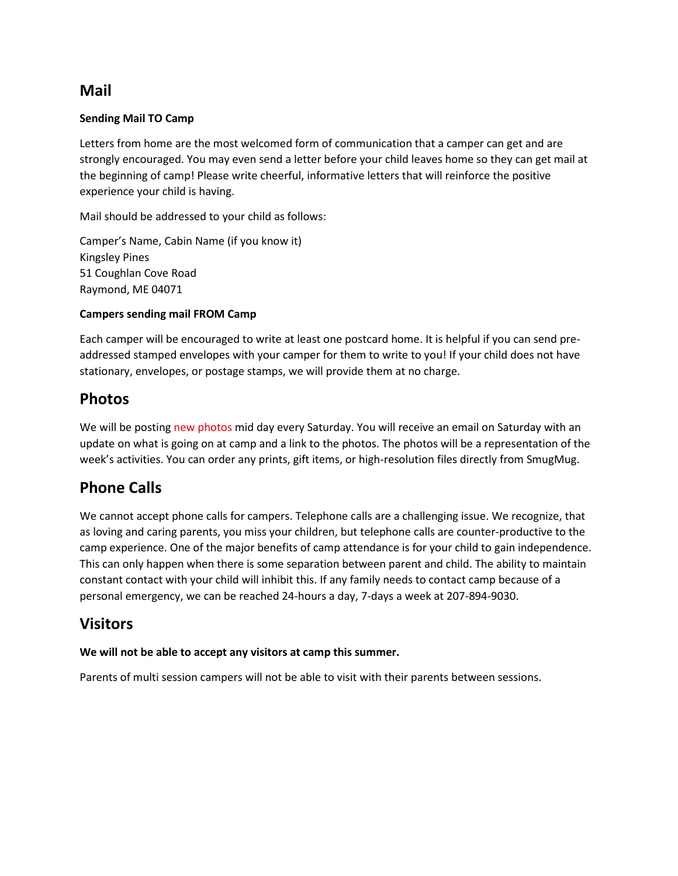### **Mail**

#### **Sending Mail TO Camp**

Letters from home are the most welcomed form of communication that a camper can get and are strongly encouraged. You may even send a letter before your child leaves home so they can get mail at the beginning of camp! Please write cheerful, informative letters that will reinforce the positive experience your child is having.

Mail should be addressed to your child as follows:

Camper's Name, Cabin Name (if you know it) Kingsley Pines 51 Coughlan Cove Road Raymond, ME 04071

#### **Campers sending mail FROM Camp**

Each camper will be encouraged to write at least one postcard home. It is helpful if you can send preaddressed stamped envelopes with your camper for them to write to you! If your child does not have stationary, envelopes, or postage stamps, we will provide them at no charge.

### **Photos**

We will be posting [new photos](https://kingsleypines.smugmug.com/SummerPhotos/Summer-2022) mid day every Saturday. You will receive an email on Saturday with an update on what is going on at camp and a link to the photos. The photos will be a representation of the week's activities. You can order any prints, gift items, or high-resolution files directly from SmugMug.

### **Phone Calls**

We cannot accept phone calls for campers. Telephone calls are a challenging issue. We recognize, that as loving and caring parents, you miss your children, but telephone calls are counter-productive to the camp experience. One of the major benefits of camp attendance is for your child to gain independence. This can only happen when there is some separation between parent and child. The ability to maintain constant contact with your child will inhibit this. If any family needs to contact camp because of a personal emergency, we can be reached 24-hours a day, 7-days a week at 207-894-9030.

### **Visitors**

**We will not be able to accept any visitors at camp this summer.**

Parents of multi session campers will not be able to visit with their parents between sessions.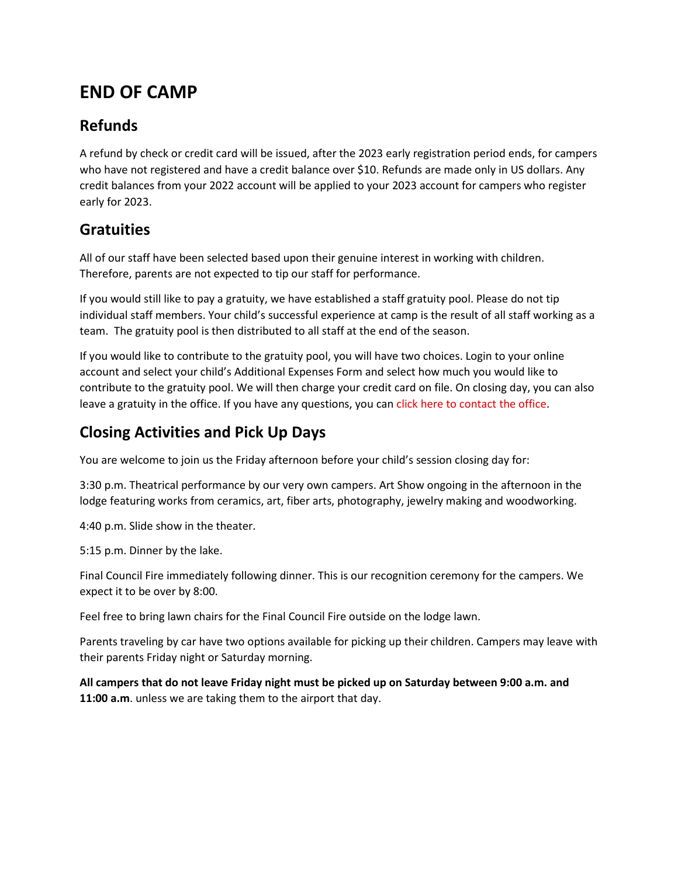# **END OF CAMP**

# **Refunds**

A refund by check or credit card will be issued, after the 2023 early registration period ends, for campers who have not registered and have a credit balance over \$10. Refunds are made only in US dollars. Any credit balances from your 2022 account will be applied to your 2023 account for campers who register early for 2023.

# **Gratuities**

All of our staff have been selected based upon their genuine interest in working with children. Therefore, parents are not expected to tip our staff for performance.

If you would still like to pay a gratuity, we have established a staff gratuity pool. Please do not tip individual staff members. Your child's successful experience at camp is the result of all staff working as a team. The gratuity pool is then distributed to all staff at the end of the season.

If you would like to contribute to the gratuity pool, you will have two choices. Login to your online account and select your child's Additional Expenses Form and select how much you would like to contribute to the gratuity pool. We will then charge your credit card on file. On closing day, you can also leave a gratuity in the office. If you have any questions, you can [click here to contact the office.](https://kingsleypines.com/contact/)

# **Closing Activities and Pick Up Days**

You are welcome to join us the Friday afternoon before your child's session closing day for:

3:30 p.m. Theatrical performance by our very own campers. Art Show ongoing in the afternoon in the lodge featuring works from ceramics, art, fiber arts, photography, jewelry making and woodworking.

4:40 p.m. Slide show in the theater.

5:15 p.m. Dinner by the lake.

Final Council Fire immediately following dinner. This is our recognition ceremony for the campers. We expect it to be over by 8:00.

Feel free to bring lawn chairs for the Final Council Fire outside on the lodge lawn.

Parents traveling by car have two options available for picking up their children. Campers may leave with their parents Friday night or Saturday morning.

**All campers that do not leave Friday night must be picked up on Saturday between 9:00 a.m. and 11:00 a.m**. unless we are taking them to the airport that day.